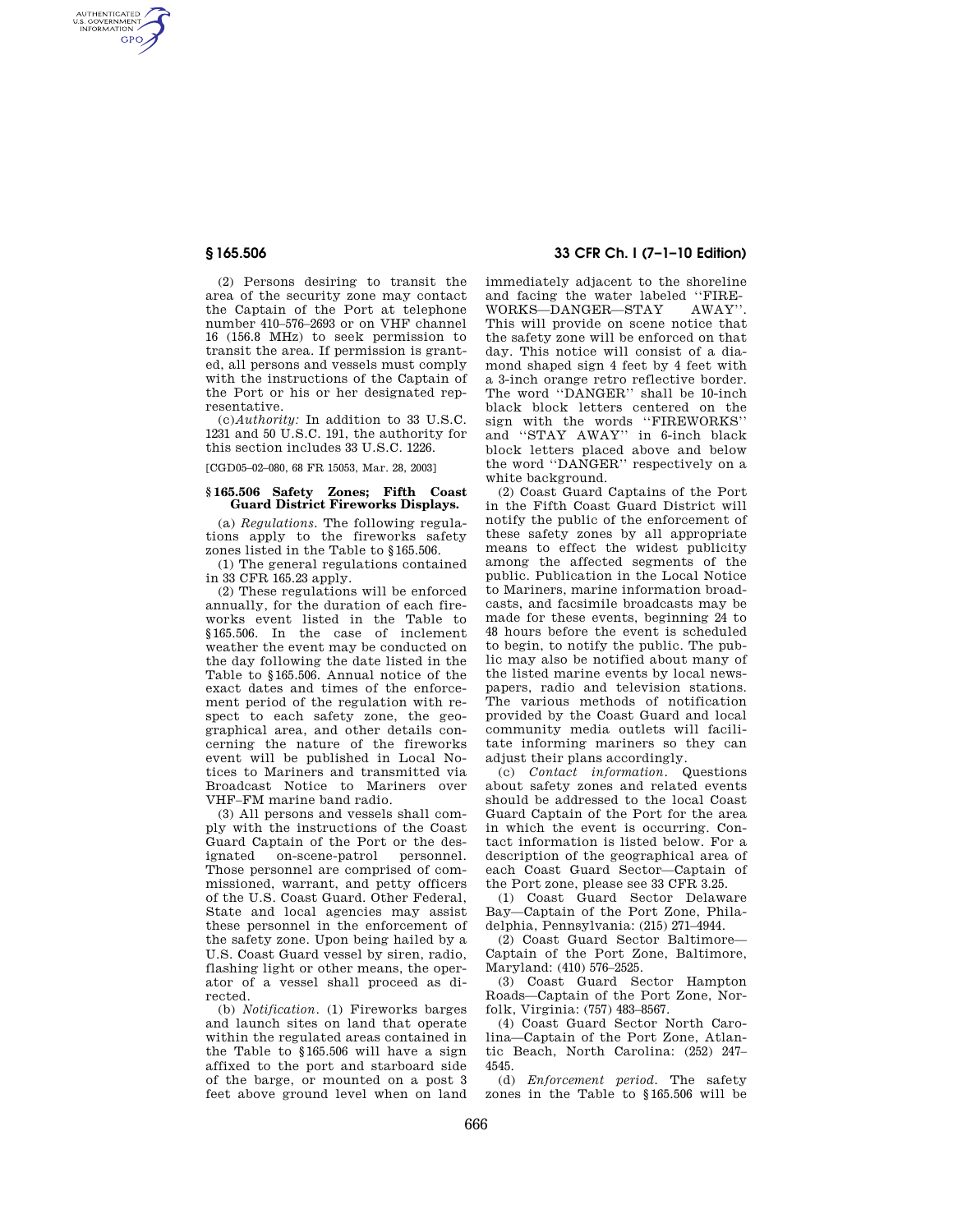AUTHENTICATED<br>U.S. GOVERNMENT<br>INFORMATION **GPO** 

> (2) Persons desiring to transit the area of the security zone may contact the Captain of the Port at telephone number 410–576–2693 or on VHF channel 16 (156.8 MHz) to seek permission to transit the area. If permission is granted, all persons and vessels must comply with the instructions of the Captain of the Port or his or her designated representative.

> (c)*Authority:* In addition to 33 U.S.C. 1231 and 50 U.S.C. 191, the authority for this section includes 33 U.S.C. 1226.

[CGD05–02–080, 68 FR 15053, Mar. 28, 2003]

### **§ 165.506 Safety Zones; Fifth Coast Guard District Fireworks Displays.**

(a) *Regulations.* The following regulations apply to the fireworks safety zones listed in the Table to §165.506.

(1) The general regulations contained in 33 CFR 165.23 apply.

(2) These regulations will be enforced annually, for the duration of each fireworks event listed in the Table to §165.506. In the case of inclement weather the event may be conducted on the day following the date listed in the Table to §165.506. Annual notice of the exact dates and times of the enforcement period of the regulation with respect to each safety zone, the geographical area, and other details concerning the nature of the fireworks event will be published in Local Notices to Mariners and transmitted via Broadcast Notice to Mariners over VHF–FM marine band radio.

(3) All persons and vessels shall comply with the instructions of the Coast Guard Captain of the Port or the designated on-scene-patrol personnel. Those personnel are comprised of commissioned, warrant, and petty officers of the U.S. Coast Guard. Other Federal, State and local agencies may assist these personnel in the enforcement of the safety zone. Upon being hailed by a U.S. Coast Guard vessel by siren, radio, flashing light or other means, the operator of a vessel shall proceed as directed.

(b) *Notification*. (1) Fireworks barges and launch sites on land that operate within the regulated areas contained in the Table to §165.506 will have a sign affixed to the port and starboard side of the barge, or mounted on a post 3 feet above ground level when on land

## **§ 165.506 33 CFR Ch. I (7–1–10 Edition)**

immediately adjacent to the shoreline and facing the water labeled "FIRE-<br>WORKS-DANGER-STAY AWAY"  $WORKS$ -DANGER-STAY This will provide on scene notice that the safety zone will be enforced on that day. This notice will consist of a diamond shaped sign 4 feet by 4 feet with a 3-inch orange retro reflective border. The word ''DANGER'' shall be 10-inch black block letters centered on the sign with the words ''FIREWORKS'' and ''STAY AWAY'' in 6-inch black block letters placed above and below the word ''DANGER'' respectively on a white background.

(2) Coast Guard Captains of the Port in the Fifth Coast Guard District will notify the public of the enforcement of these safety zones by all appropriate means to effect the widest publicity among the affected segments of the public. Publication in the Local Notice to Mariners, marine information broadcasts, and facsimile broadcasts may be made for these events, beginning 24 to 48 hours before the event is scheduled to begin, to notify the public. The public may also be notified about many of the listed marine events by local newspapers, radio and television stations. The various methods of notification provided by the Coast Guard and local community media outlets will facilitate informing mariners so they can adjust their plans accordingly.

(c) *Contact information*. Questions about safety zones and related events should be addressed to the local Coast Guard Captain of the Port for the area in which the event is occurring. Contact information is listed below. For a description of the geographical area of each Coast Guard Sector—Captain of the Port zone, please see 33 CFR 3.25.

(1) Coast Guard Sector Delaware Bay—Captain of the Port Zone, Philadelphia, Pennsylvania: (215) 271–4944.

(2) Coast Guard Sector Baltimore— Captain of the Port Zone, Baltimore, Maryland: (410) 576–2525.

(3) Coast Guard Sector Hampton Roads—Captain of the Port Zone, Norfolk, Virginia: (757) 483–8567.

(4) Coast Guard Sector North Carolina—Captain of the Port Zone, Atlantic Beach, North Carolina: (252) 247– 4545.

(d) *Enforcement period.* The safety zones in the Table to §165.506 will be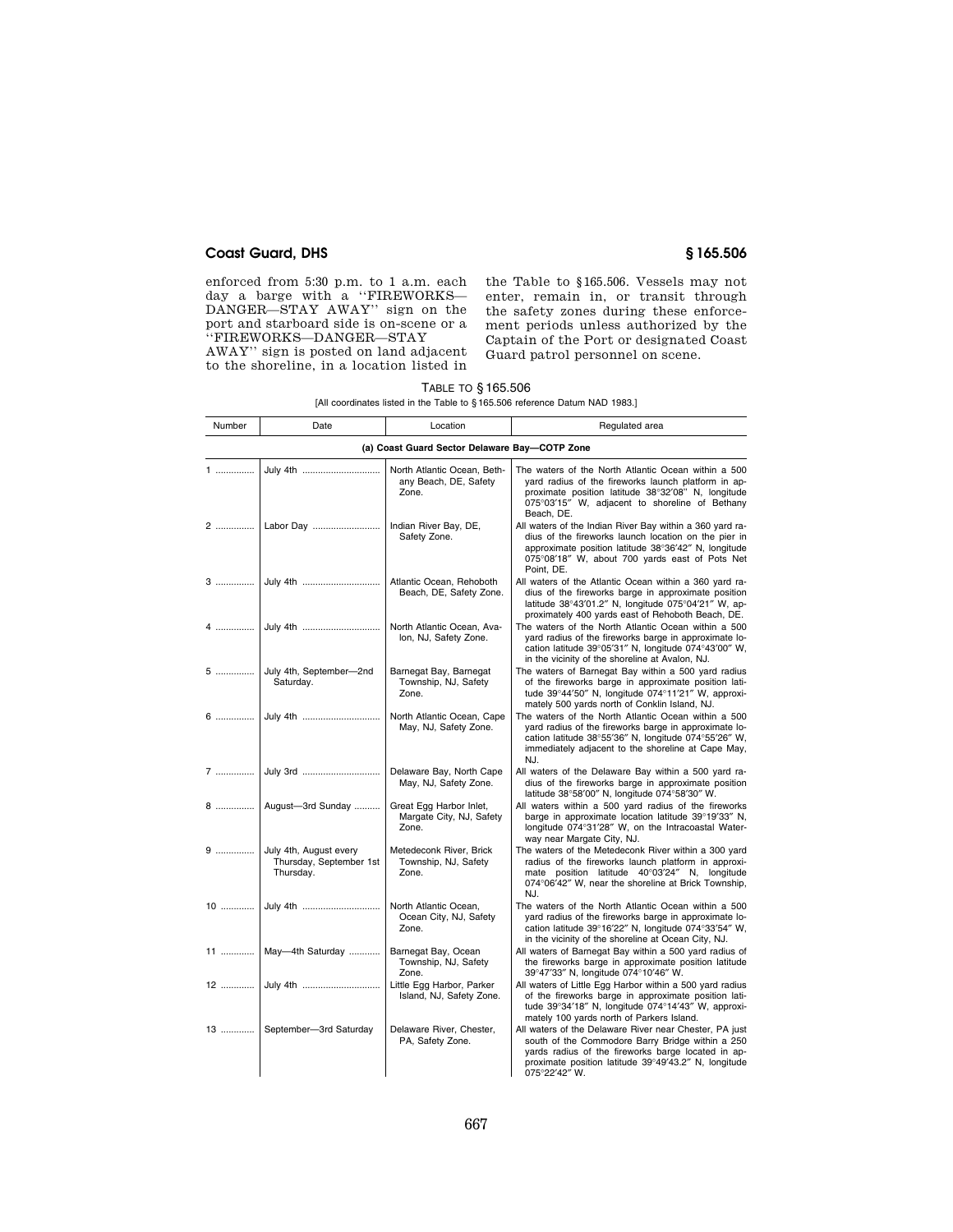## **Coast Guard, DHS § 165.506**

enforced from 5:30 p.m. to 1 a.m. each day a barge with a ''FIREWORKS— DANGER—STAY AWAY'' sign on the port and starboard side is on-scene or a ''FIREWORKS—DANGER—STAY

AWAY'' sign is posted on land adjacent to the shoreline, in a location listed in

the Table to §165.506. Vessels may not enter, remain in, or transit through the safety zones during these enforcement periods unless authorized by the Captain of the Port or designated Coast Guard patrol personnel on scene.

## TABLE TO § 165.506

| Number                                        | Date                                                              | Location                                                      | Regulated area                                                                                                                                                                                                                            |  |
|-----------------------------------------------|-------------------------------------------------------------------|---------------------------------------------------------------|-------------------------------------------------------------------------------------------------------------------------------------------------------------------------------------------------------------------------------------------|--|
| (a) Coast Guard Sector Delaware Bay-COTP Zone |                                                                   |                                                               |                                                                                                                                                                                                                                           |  |
| 1                                             | July 4th                                                          | North Atlantic Ocean, Beth-<br>any Beach, DE, Safety<br>Zone. | The waters of the North Atlantic Ocean within a 500<br>yard radius of the fireworks launch platform in ap-<br>proximate position latitude 38°32'08" N, longitude<br>075°03'15" W, adjacent to shoreline of Bethany<br>Beach, DE.          |  |
|                                               |                                                                   | Indian River Bay, DE,<br>Safety Zone.                         | All waters of the Indian River Bay within a 360 yard ra-<br>dius of the fireworks launch location on the pier in<br>approximate position latitude 38°36'42" N, longitude<br>075°08'18" W, about 700 yards east of Pots Net<br>Point, DE.  |  |
|                                               |                                                                   | Atlantic Ocean, Rehoboth<br>Beach, DE, Safety Zone.           | All waters of the Atlantic Ocean within a 360 yard ra-<br>dius of the fireworks barge in approximate position<br>latitude 38°43'01.2" N, longitude 075°04'21" W, ap-<br>proximately 400 yards east of Rehoboth Beach, DE.                 |  |
|                                               |                                                                   | North Atlantic Ocean, Ava-<br>Ion, NJ, Safety Zone.           | The waters of the North Atlantic Ocean within a 500<br>yard radius of the fireworks barge in approximate lo-<br>cation latitude 39°05'31" N, longitude 074°43'00" W,<br>in the vicinity of the shoreline at Avalon, NJ.                   |  |
|                                               | 5  July 4th, September-2nd<br>Saturday.                           | Barnegat Bay, Barnegat<br>Township, NJ, Safety<br>Zone.       | The waters of Barnegat Bay within a 500 yard radius<br>of the fireworks barge in approximate position lati-<br>tude 39°44'50" N, longitude 074°11'21" W, approxi-<br>mately 500 yards north of Conklin Island, NJ.                        |  |
|                                               |                                                                   | North Atlantic Ocean, Cape<br>May, NJ, Safety Zone.           | The waters of the North Atlantic Ocean within a 500<br>yard radius of the fireworks barge in approximate lo-<br>cation latitude 38°55'36" N, longitude 074°55'26" W,<br>immediately adjacent to the shoreline at Cape May,<br>NJ.         |  |
|                                               |                                                                   | Delaware Bay, North Cape<br>May, NJ, Safety Zone.             | All waters of the Delaware Bay within a 500 yard ra-<br>dius of the fireworks barge in approximate position<br>latitude 38°58'00" N, longitude 074°58'30" W.                                                                              |  |
|                                               | 8    August-3rd Sunday                                            | Great Egg Harbor Inlet,<br>Margate City, NJ, Safety<br>Zone.  | All waters within a 500 yard radius of the fireworks<br>barge in approximate location latitude 39°19'33" N,<br>longitude 074°31'28" W, on the Intracoastal Water-<br>way near Margate City, NJ.                                           |  |
|                                               | 9  July 4th, August every<br>Thursday, September 1st<br>Thursday. | Metedeconk River, Brick<br>Township, NJ, Safety<br>Zone.      | The waters of the Metedeconk River within a 300 yard<br>radius of the fireworks launch platform in approxi-<br>mate position latitude 40°03'24" N, longitude<br>074°06'42" W, near the shoreline at Brick Township,<br>NJ.                |  |
|                                               |                                                                   | North Atlantic Ocean,<br>Ocean City, NJ, Safety<br>Zone.      | The waters of the North Atlantic Ocean within a 500<br>yard radius of the fireworks barge in approximate lo-<br>cation latitude 39°16'22" N, longitude 074°33'54" W,<br>in the vicinity of the shoreline at Ocean City, NJ.               |  |
|                                               | 11    May-4th Saturday                                            | Barnegat Bay, Ocean<br>Township, NJ, Safety<br>Zone.          | All waters of Barnegat Bay within a 500 yard radius of<br>the fireworks barge in approximate position latitude<br>39°47'33" N, longitude 074°10'46" W.                                                                                    |  |
|                                               | 12  July 4th                                                      | Little Egg Harbor, Parker<br>Island, NJ, Safety Zone.         | All waters of Little Egg Harbor within a 500 yard radius<br>of the fireworks barge in approximate position lati-<br>tude 39°34'18" N, longitude 074°14'43" W, approxi-<br>mately 100 yards north of Parkers Island.                       |  |
|                                               | 13    September-3rd Saturday                                      | Delaware River, Chester,<br>PA, Safety Zone.                  | All waters of the Delaware River near Chester, PA just<br>south of the Commodore Barry Bridge within a 250<br>yards radius of the fireworks barge located in ap-<br>proximate position latitude 39°49'43.2" N, longitude<br>075°22'42" W. |  |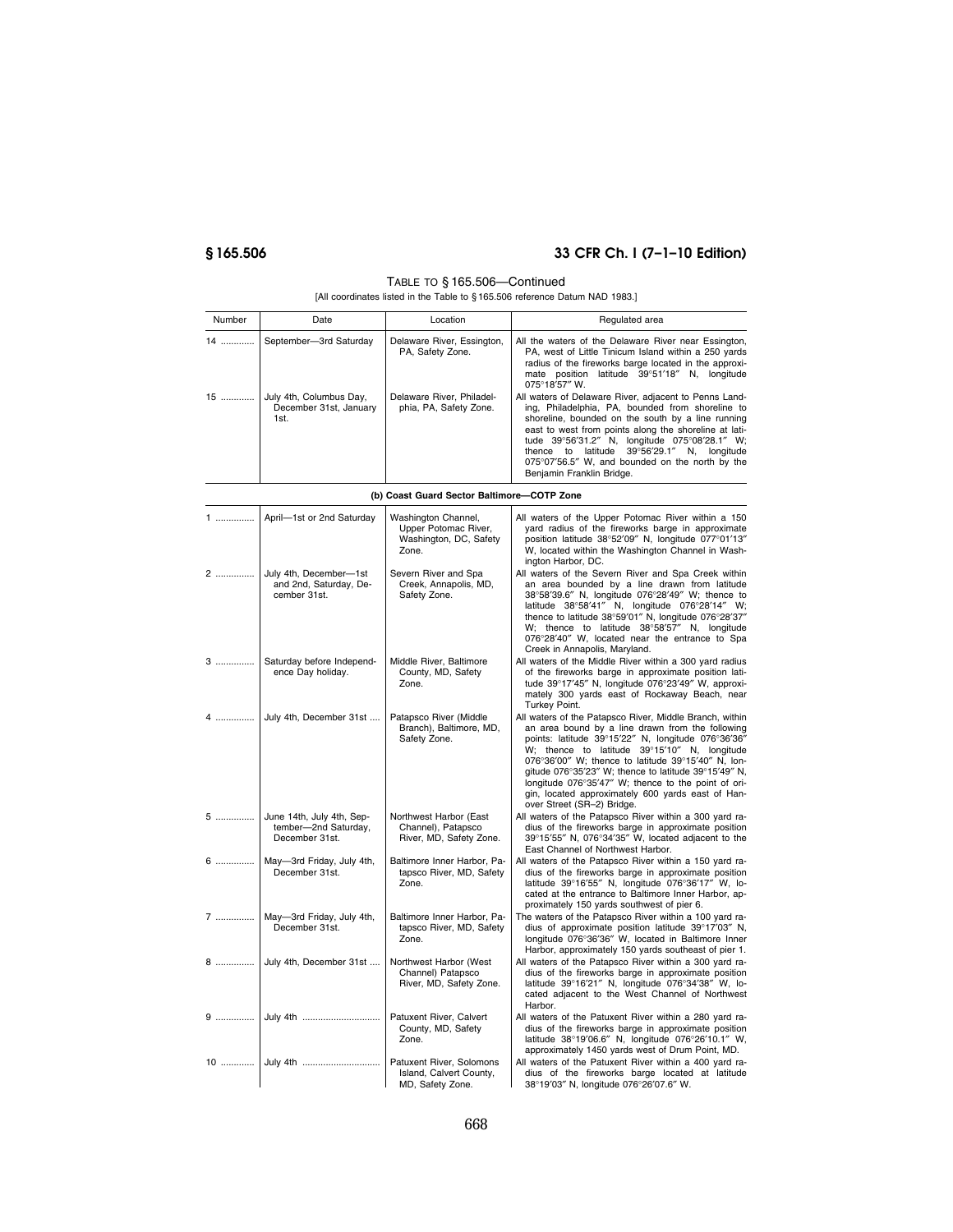# **§ 165.506 33 CFR Ch. I (7–1–10 Edition)**

### TABLE TO § 165.506—Continued

| Number | Date                                                      | Location                                            | Regulated area                                                                                                                                                                                                                                                                                                                                                                                          |
|--------|-----------------------------------------------------------|-----------------------------------------------------|---------------------------------------------------------------------------------------------------------------------------------------------------------------------------------------------------------------------------------------------------------------------------------------------------------------------------------------------------------------------------------------------------------|
| 14     | September-3rd Saturday                                    | Delaware River, Essington,<br>PA, Safety Zone.      | All the waters of the Delaware River near Essington,<br>PA, west of Little Tinicum Island within a 250 yards<br>radius of the fireworks barge located in the approxi-<br>mate position latitude 39°51'18" N, longitude<br>$075^{\circ}18'57''$ W.                                                                                                                                                       |
| 15     | July 4th, Columbus Day,<br>December 31st, January<br>1st. | Delaware River, Philadel-<br>phia, PA, Safety Zone. | All waters of Delaware River, adjacent to Penns Land-<br>ing, Philadelphia, PA, bounded from shoreline to<br>shoreline, bounded on the south by a line running<br>east to west from points along the shoreline at lati-<br>tude 39°56'31.2" N, longitude 075°08'28.1" W;<br>thence to latitude 39°56'29.1" N, longitude<br>075°07'56.5" W, and bounded on the north by the<br>Benjamin Franklin Bridge. |

|  |  | (b) Coast Guard Sector Baltimore-COTP Zone |  |
|--|--|--------------------------------------------|--|
|  |  |                                            |  |

| 1       | April-1st or 2nd Saturday                                           | Washington Channel,<br>Upper Potomac River,<br>Washington, DC, Safety<br>Zone. | All waters of the Upper Potomac River within a 150<br>yard radius of the fireworks barge in approximate<br>position latitude 38°52'09" N, longitude 077°01'13"<br>W, located within the Washington Channel in Wash-<br>ington Harbor, DC.                                                                                                                                                                                                                                 |
|---------|---------------------------------------------------------------------|--------------------------------------------------------------------------------|---------------------------------------------------------------------------------------------------------------------------------------------------------------------------------------------------------------------------------------------------------------------------------------------------------------------------------------------------------------------------------------------------------------------------------------------------------------------------|
| 2       | July 4th, December-1st<br>and 2nd, Saturday, De-<br>cember 31st.    | Severn River and Spa<br>Creek, Annapolis, MD,<br>Safety Zone.                  | All waters of the Severn River and Spa Creek within<br>an area bounded by a line drawn from latitude<br>38°58'39.6" N, longitude 076°28'49" W; thence to<br>latitude 38°58'41" N, longitude 076°28'14" W;<br>thence to latitude 38°59'01" N, longitude 076°28'37"<br>W; thence to latitude 38°58'57" N, longitude<br>076°28'40" W, located near the entrance to Spa<br>Creek in Annapolis, Maryland.                                                                      |
| 3.      | Saturday before Independ-<br>ence Day holiday.                      | Middle River, Baltimore<br>County, MD, Safety<br>Zone.                         | All waters of the Middle River within a 300 yard radius<br>of the fireworks barge in approximate position lati-<br>tude 39°17'45" N, longitude 076°23'49" W, approxi-<br>mately 300 yards east of Rockaway Beach, near<br>Turkey Point.                                                                                                                                                                                                                                   |
|         | 4  July 4th, December 31st                                          | Patapsco River (Middle<br>Branch), Baltimore, MD,<br>Safety Zone.              | All waters of the Patapsco River, Middle Branch, within<br>an area bound by a line drawn from the following<br>points: latitude 39°15'22" N, longitude 076°36'36"<br>W; thence to latitude 39°15'10" N, longitude<br>076°36'00" W; thence to latitude 39°15'40" N, lon-<br>gitude 076°35'23" W; thence to latitude 39°15'49" N,<br>longitude 076°35'47" W; thence to the point of ori-<br>gin, located approximately 600 yards east of Han-<br>over Street (SR-2) Bridge. |
| 5 …………… | June 14th, July 4th, Sep-<br>tember-2nd Saturday,<br>December 31st. | Northwest Harbor (East<br>Channel), Patapsco<br>River, MD, Safety Zone.        | All waters of the Patapsco River within a 300 yard ra-<br>dius of the fireworks barge in approximate position<br>39°15'55" N, 076°34'35" W, located adjacent to the<br>East Channel of Northwest Harbor.                                                                                                                                                                                                                                                                  |
| 6       | May-3rd Friday, July 4th,<br>December 31st.                         | Baltimore Inner Harbor, Pa-<br>tapsco River, MD, Safety<br>Zone.               | All waters of the Patapsco River within a 150 yard ra-<br>dius of the fireworks barge in approximate position<br>latitude 39°16'55" N, longitude 076°36'17" W, lo-<br>cated at the entrance to Baltimore Inner Harbor, ap-<br>proximately 150 yards southwest of pier 6.                                                                                                                                                                                                  |
|         | 7    May-3rd Friday, July 4th,<br>December 31st.                    | Baltimore Inner Harbor, Pa-<br>tapsco River, MD, Safety<br>Zone.               | The waters of the Patapsco River within a 100 yard ra-<br>dius of approximate position latitude 39°17'03" N,<br>longitude 076°36'36" W, located in Baltimore Inner<br>Harbor, approximately 150 yards southeast of pier 1.                                                                                                                                                                                                                                                |
|         | 8  July 4th, December 31st                                          | Northwest Harbor (West<br>Channel) Patapsco<br>River, MD, Safety Zone.         | All waters of the Patapsco River within a 300 yard ra-<br>dius of the fireworks barge in approximate position<br>latitude 39°16'21" N, longitude 076°34'38" W, lo-<br>cated adjacent to the West Channel of Northwest<br>Harbor.                                                                                                                                                                                                                                          |
|         |                                                                     | Patuxent River, Calvert<br>County, MD, Safety<br>Zone.                         | All waters of the Patuxent River within a 280 yard ra-<br>dius of the fireworks barge in approximate position<br>latitude 38°19'06.6" N, longitude 076°26'10.1" W,<br>approximately 1450 yards west of Drum Point, MD.                                                                                                                                                                                                                                                    |
|         |                                                                     | Patuxent River, Solomons<br>Island, Calvert County,<br>MD, Safety Zone.        | All waters of the Patuxent River within a 400 yard ra-<br>dius of the fireworks barge located at latitude<br>38°19'03" N, longitude 076°26'07.6" W.                                                                                                                                                                                                                                                                                                                       |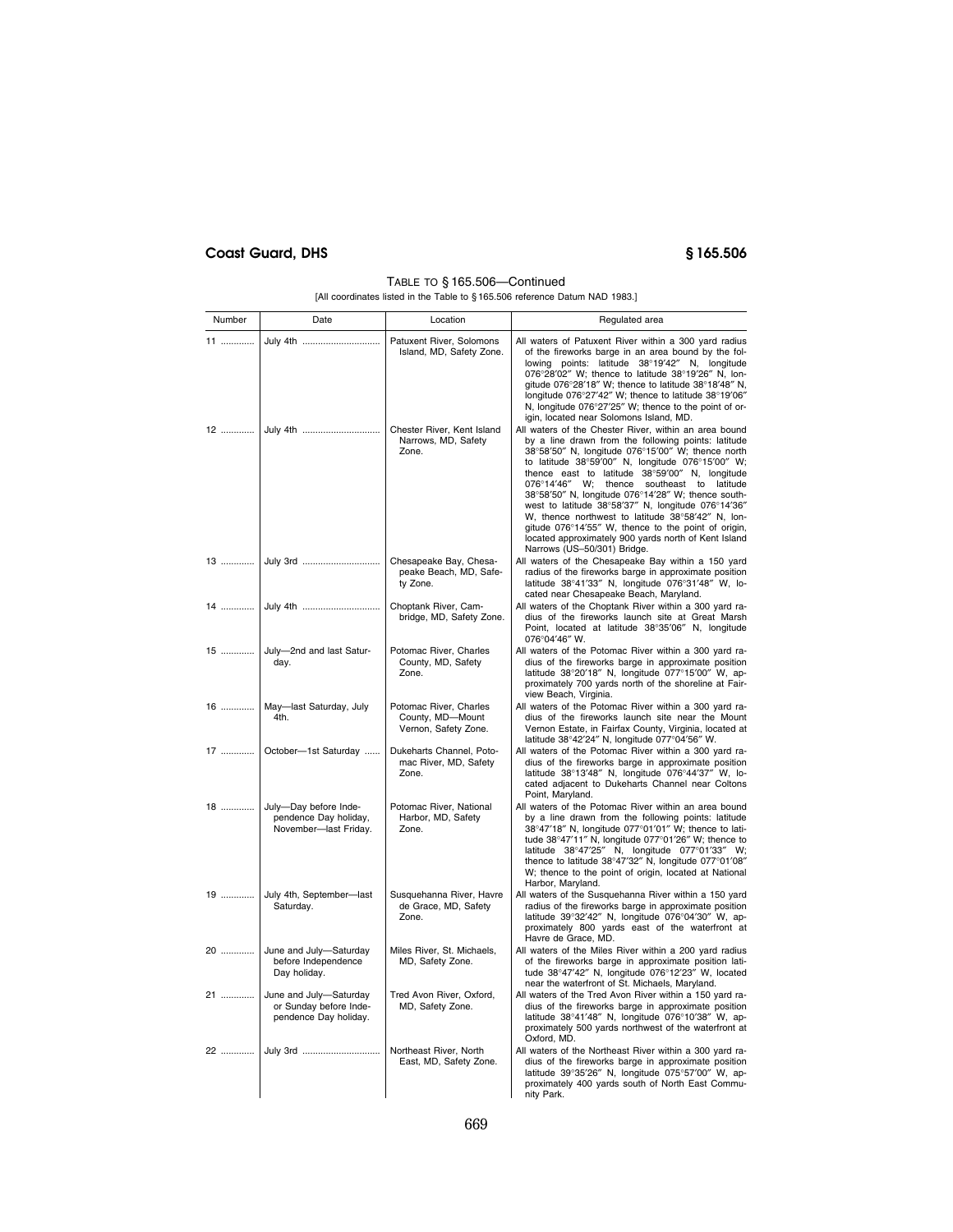# **Coast Guard, DHS § 165.506**

### TABLE TO § 165.506—Continued [All coordinates listed in the Table to § 165.506 reference Datum NAD 1983.]

| Number | Date                                                                      | Location                                                           | Regulated area                                                                                                                                                                                                                                                                                                                                                                                                                                                                                                                                                                                                                          |
|--------|---------------------------------------------------------------------------|--------------------------------------------------------------------|-----------------------------------------------------------------------------------------------------------------------------------------------------------------------------------------------------------------------------------------------------------------------------------------------------------------------------------------------------------------------------------------------------------------------------------------------------------------------------------------------------------------------------------------------------------------------------------------------------------------------------------------|
| 11     | July 4th                                                                  | Patuxent River, Solomons<br>Island, MD, Safety Zone.               | All waters of Patuxent River within a 300 yard radius<br>of the fireworks barge in an area bound by the fol-<br>lowing points: latitude 38°19'42" N, longitude<br>076°28'02" W; thence to latitude 38°19'26" N, lon-<br>gitude 076°28'18" W; thence to latitude 38°18'48" N,<br>longitude 076°27'42" W; thence to latitude 38°19'06"<br>N, longitude 076°27'25" W; thence to the point of or-<br>igin, located near Solomons Island, MD.                                                                                                                                                                                                |
| 12     | July 4th                                                                  | Chester River, Kent Island<br>Narrows, MD, Safety<br>Zone.         | All waters of the Chester River, within an area bound<br>by a line drawn from the following points: latitude<br>38°58'50" N, longitude 076°15'00" W; thence north<br>to latitude 38°59'00" N, longitude 076°15'00" W;<br>thence east to latitude 38°59'00" N, longitude<br>076°14'46" W; thence<br>southeast to latitude<br>38°58'50" N, longitude 076°14'28" W; thence south-<br>west to latitude 38°58'37" N, longitude 076°14'36"<br>W, thence northwest to latitude 38°58'42" N, lon-<br>gitude 076°14'55" W, thence to the point of origin,<br>located approximately 900 yards north of Kent Island<br>Narrows (US-50/301) Bridge. |
| 13     | July 3rd                                                                  | Chesapeake Bay, Chesa-<br>peake Beach, MD, Safe-<br>ty Zone.       | All waters of the Chesapeake Bay within a 150 yard<br>radius of the fireworks barge in approximate position<br>latitude 38°41'33" N, longitude 076°31'48" W, lo-<br>cated near Chesapeake Beach, Maryland.                                                                                                                                                                                                                                                                                                                                                                                                                              |
| 14     | July 4th                                                                  | Choptank River, Cam-<br>bridge, MD, Safety Zone.                   | All waters of the Choptank River within a 300 yard ra-<br>dius of the fireworks launch site at Great Marsh<br>Point, located at latitude 38°35'06" N, longitude<br>076°04'46" W.                                                                                                                                                                                                                                                                                                                                                                                                                                                        |
| 15     | July-2nd and last Satur-<br>day.                                          | Potomac River, Charles<br>County, MD, Safety<br>Zone.              | All waters of the Potomac River within a 300 yard ra-<br>dius of the fireworks barge in approximate position<br>latitude 38°20'18" N, longitude 077°15'00" W, ap-<br>proximately 700 yards north of the shoreline at Fair-<br>view Beach, Virginia.                                                                                                                                                                                                                                                                                                                                                                                     |
| 16     | May-last Saturday, July<br>4th.                                           | Potomac River, Charles<br>County, MD-Mount<br>Vernon, Safety Zone. | All waters of the Potomac River within a 300 yard ra-<br>dius of the fireworks launch site near the Mount<br>Vernon Estate, in Fairfax County, Virginia, located at<br>latitude 38°42'24" N, longitude 077°04'56" W.                                                                                                                                                                                                                                                                                                                                                                                                                    |
| 17     | October-1st Saturday                                                      | Dukeharts Channel, Poto-<br>mac River, MD, Safety<br>Zone.         | All waters of the Potomac River within a 300 yard ra-<br>dius of the fireworks barge in approximate position<br>latitude 38°13'48" N, longitude 076°44'37" W, lo-<br>cated adjacent to Dukeharts Channel near Coltons<br>Point, Maryland.                                                                                                                                                                                                                                                                                                                                                                                               |
| 18     | July-Day before Inde-<br>pendence Day holiday,<br>November-last Friday.   | Potomac River, National<br>Harbor, MD, Safety<br>Zone.             | All waters of the Potomac River within an area bound<br>by a line drawn from the following points: latitude<br>38°47'18" N, longitude 077°01'01" W; thence to lati-<br>tude 38°47'11" N, longitude 077°01'26" W; thence to<br>latitude 38°47'25" N, longitude 077°01'33" W;<br>thence to latitude 38°47'32" N, longitude 077°01'08"<br>W; thence to the point of origin, located at National<br>Harbor, Maryland.                                                                                                                                                                                                                       |
|        | 19  July 4th, September-last<br>Saturday.                                 | Susquehanna River, Havre<br>de Grace, MD, Safety<br>Zone.          | All waters of the Susquehanna River within a 150 yard<br>radius of the fireworks barge in approximate position<br>latitude 39°32'42" N, longitude 076°04'30" W, ap-<br>proximately 800 yards east of the waterfront at<br>Havre de Grace, MD.                                                                                                                                                                                                                                                                                                                                                                                           |
| 20     | June and July-Saturday<br>before Independence<br>Day holiday.             | Miles River, St. Michaels,<br>MD, Safety Zone.                     | All waters of the Miles River within a 200 yard radius<br>of the fireworks barge in approximate position lati-<br>tude 38°47'42" N, longitude 076°12'23" W, located<br>near the waterfront of St. Michaels, Maryland.                                                                                                                                                                                                                                                                                                                                                                                                                   |
| 21     | June and July-Saturday<br>or Sunday before Inde-<br>pendence Day holiday. | Tred Avon River, Oxford,<br>MD, Safety Zone.                       | All waters of the Tred Avon River within a 150 yard ra-<br>dius of the fireworks barge in approximate position<br>latitude 38°41'48" N, longitude 076°10'38" W, ap-<br>proximately 500 yards northwest of the waterfront at<br>Oxford, MD.                                                                                                                                                                                                                                                                                                                                                                                              |
| 22     | July 3rd                                                                  | Northeast River, North<br>East, MD, Safety Zone.                   | All waters of the Northeast River within a 300 yard ra-<br>dius of the fireworks barge in approximate position<br>latitude 39°35'26" N, longitude 075°57'00" W, ap-<br>proximately 400 yards south of North East Commu-<br>nity Park.                                                                                                                                                                                                                                                                                                                                                                                                   |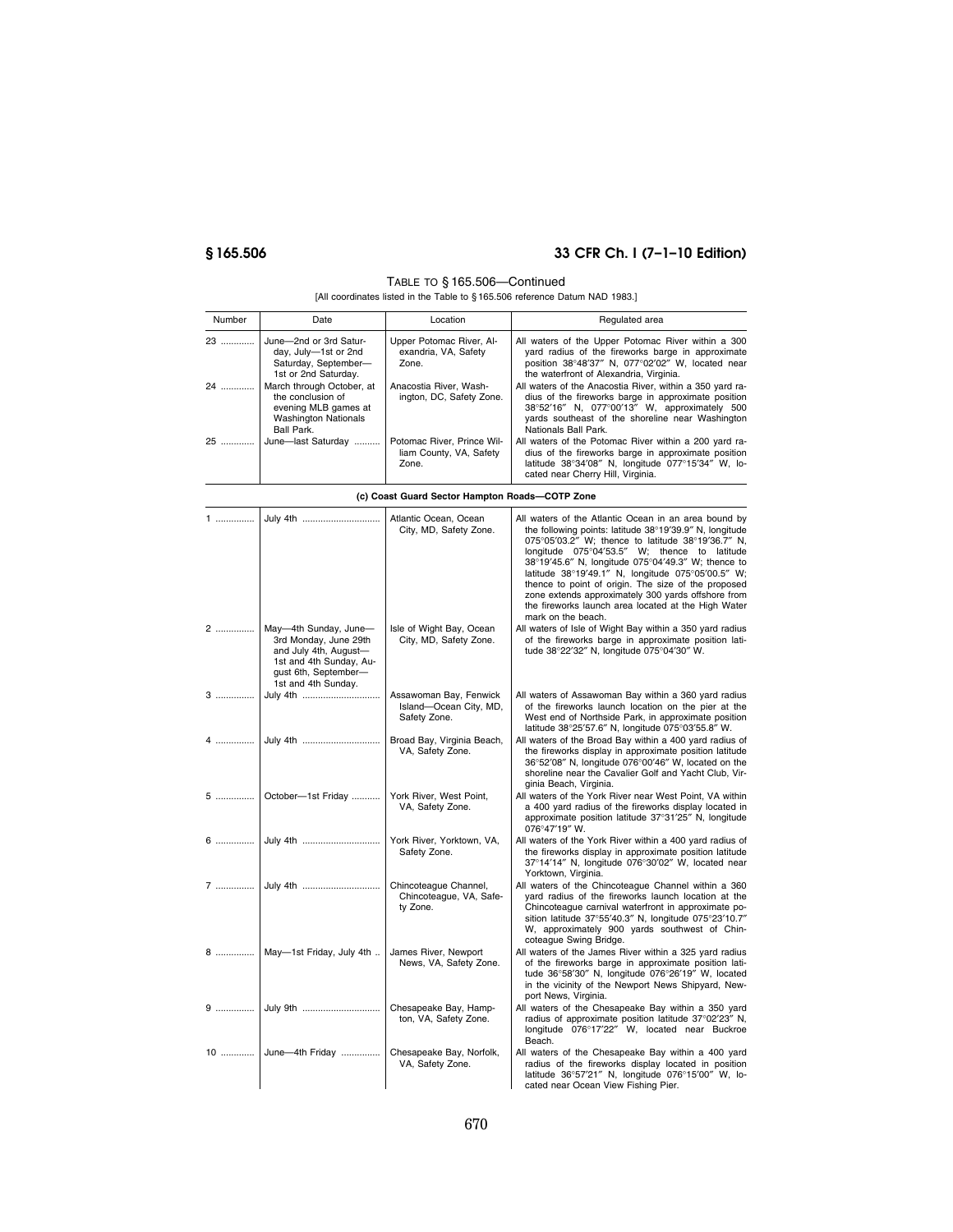# **§ 165.506 33 CFR Ch. I (7–1–10 Edition)**

### TABLE TO § 165.506—Continued

| Number   | Date                                                                                                                                                                                                                  | Location                                                                                                        | Regulated area                                                                                                                                                                                                                                                                                                                                                                                                                                                                                                            |
|----------|-----------------------------------------------------------------------------------------------------------------------------------------------------------------------------------------------------------------------|-----------------------------------------------------------------------------------------------------------------|---------------------------------------------------------------------------------------------------------------------------------------------------------------------------------------------------------------------------------------------------------------------------------------------------------------------------------------------------------------------------------------------------------------------------------------------------------------------------------------------------------------------------|
| 23<br>24 | June-2nd or 3rd Satur-<br>day, July-1st or 2nd<br>Saturday, September-<br>1st or 2nd Saturday.<br>March through October, at<br>the conclusion of<br>evening MLB games at<br><b>Washington Nationals</b><br>Ball Park. | Upper Potomac River, Al-<br>exandria, VA, Safety<br>Zone.<br>Anacostia River, Wash-<br>ington, DC, Safety Zone. | All waters of the Upper Potomac River within a 300<br>yard radius of the fireworks barge in approximate<br>position 38°48'37" N, 077°02'02" W, located near<br>the waterfront of Alexandria, Virginia.<br>All waters of the Anacostia River, within a 350 yard ra-<br>dius of the fireworks barge in approximate position<br>38°52'16" N, 077°00'13" W, approximately 500<br>yards southeast of the shoreline near Washington<br>Nationals Ball Park.                                                                     |
| 25       | June-last Saturday                                                                                                                                                                                                    | Potomac River, Prince Wil-<br>liam County, VA, Safety<br>Zone.                                                  | All waters of the Potomac River within a 200 yard ra-<br>dius of the fireworks barge in approximate position<br>latitude 38°34'08" N, longitude 077°15'34" W, lo-<br>cated near Cherry Hill, Virginia.                                                                                                                                                                                                                                                                                                                    |
|          |                                                                                                                                                                                                                       | (c) Coast Guard Sector Hampton Roads-COTP Zone                                                                  |                                                                                                                                                                                                                                                                                                                                                                                                                                                                                                                           |
| 1        | July 4th                                                                                                                                                                                                              | Atlantic Ocean, Ocean<br>City, MD, Safety Zone.                                                                 | All waters of the Atlantic Ocean in an area bound by<br>the following points: latitude 38°19'39.9" N, longitude<br>075°05'03.2" W; thence to latitude 38°19'36.7" N,<br>longitude 075°04'53.5" W; thence to latitude<br>38°19'45.6" N, longitude 075°04'49.3" W; thence to<br>latitude 38°19'49.1" N, longitude 075°05'00.5" W;<br>thence to point of origin. The size of the proposed<br>zone extends approximately 300 yards offshore from<br>the fireworks launch area located at the High Water<br>mark on the beach. |
| 2        | May-4th Sunday, June-<br>3rd Monday, June 29th<br>and July 4th, August-<br>1st and 4th Sunday, Au-<br>gust 6th, September-<br>1st and 4th Sunday.                                                                     | Isle of Wight Bay, Ocean<br>City, MD, Safety Zone.                                                              | All waters of Isle of Wight Bay within a 350 yard radius<br>of the fireworks barge in approximate position lati-<br>tude 38°22'32" N, longitude 075°04'30" W.                                                                                                                                                                                                                                                                                                                                                             |
| 3        | July 4th                                                                                                                                                                                                              | Assawoman Bay, Fenwick<br>Island-Ocean City, MD,<br>Safety Zone.                                                | All waters of Assawoman Bay within a 360 yard radius<br>of the fireworks launch location on the pier at the<br>West end of Northside Park, in approximate position<br>latitude 38°25'57.6" N, longitude 075°03'55.8" W.                                                                                                                                                                                                                                                                                                   |
| 4        | July 4th                                                                                                                                                                                                              | Broad Bay, Virginia Beach,<br>VA, Safety Zone.                                                                  | All waters of the Broad Bay within a 400 yard radius of<br>the fireworks display in approximate position latitude<br>36°52'08" N, longitude 076°00'46" W, located on the<br>shoreline near the Cavalier Golf and Yacht Club, Vir-<br>ginia Beach, Virginia.                                                                                                                                                                                                                                                               |
| 5        | October-1st Friday                                                                                                                                                                                                    | York River, West Point,<br>VA, Safety Zone.                                                                     | All waters of the York River near West Point, VA within<br>a 400 yard radius of the fireworks display located in<br>approximate position latitude 37°31'25" N, longitude<br>076°47'19" W.                                                                                                                                                                                                                                                                                                                                 |
| 6        | July 4th                                                                                                                                                                                                              | York River, Yorktown, VA,<br>Safety Zone.                                                                       | All waters of the York River within a 400 yard radius of<br>the fireworks display in approximate position latitude<br>37°14'14" N, longitude 076°30'02" W, located near<br>Yorktown, Virginia.                                                                                                                                                                                                                                                                                                                            |
| 7        | July 4th                                                                                                                                                                                                              | Chincoteague Channel,<br>Chincoteague, VA, Safe-<br>ty Zone.                                                    | All waters of the Chincoteague Channel within a 360<br>yard radius of the fireworks launch location at the<br>Chincoteague carnival waterfront in approximate po-<br>sition latitude 37°55'40.3" N, longitude 075°23'10.7"<br>W, approximately 900 yards southwest of Chin-<br>coteague Swing Bridge.                                                                                                                                                                                                                     |
|          | 8    May-1st Friday, July 4th                                                                                                                                                                                         | James River, Newport<br>News, VA, Safety Zone.                                                                  | All waters of the James River within a 325 yard radius<br>of the fireworks barge in approximate position lati-<br>tude 36°58'30" N, longitude 076°26'19" W, located<br>in the vicinity of the Newport News Shipyard, New-<br>port News, Virginia.                                                                                                                                                                                                                                                                         |
| 9        |                                                                                                                                                                                                                       | Chesapeake Bay, Hamp-<br>ton, VA, Safety Zone.                                                                  | All waters of the Chesapeake Bay within a 350 yard<br>radius of approximate position latitude 37°02'23" N,<br>longitude 076°17'22" W, located near Buckroe<br>Beach.                                                                                                                                                                                                                                                                                                                                                      |
|          | 10  June-4th Friday                                                                                                                                                                                                   | Chesapeake Bay, Norfolk,<br>VA, Safety Zone.                                                                    | All waters of the Chesapeake Bay within a 400 yard<br>radius of the fireworks display located in position<br>latitude 36°57'21" N, longitude 076°15'00" W, lo-<br>cated near Ocean View Fishing Pier.                                                                                                                                                                                                                                                                                                                     |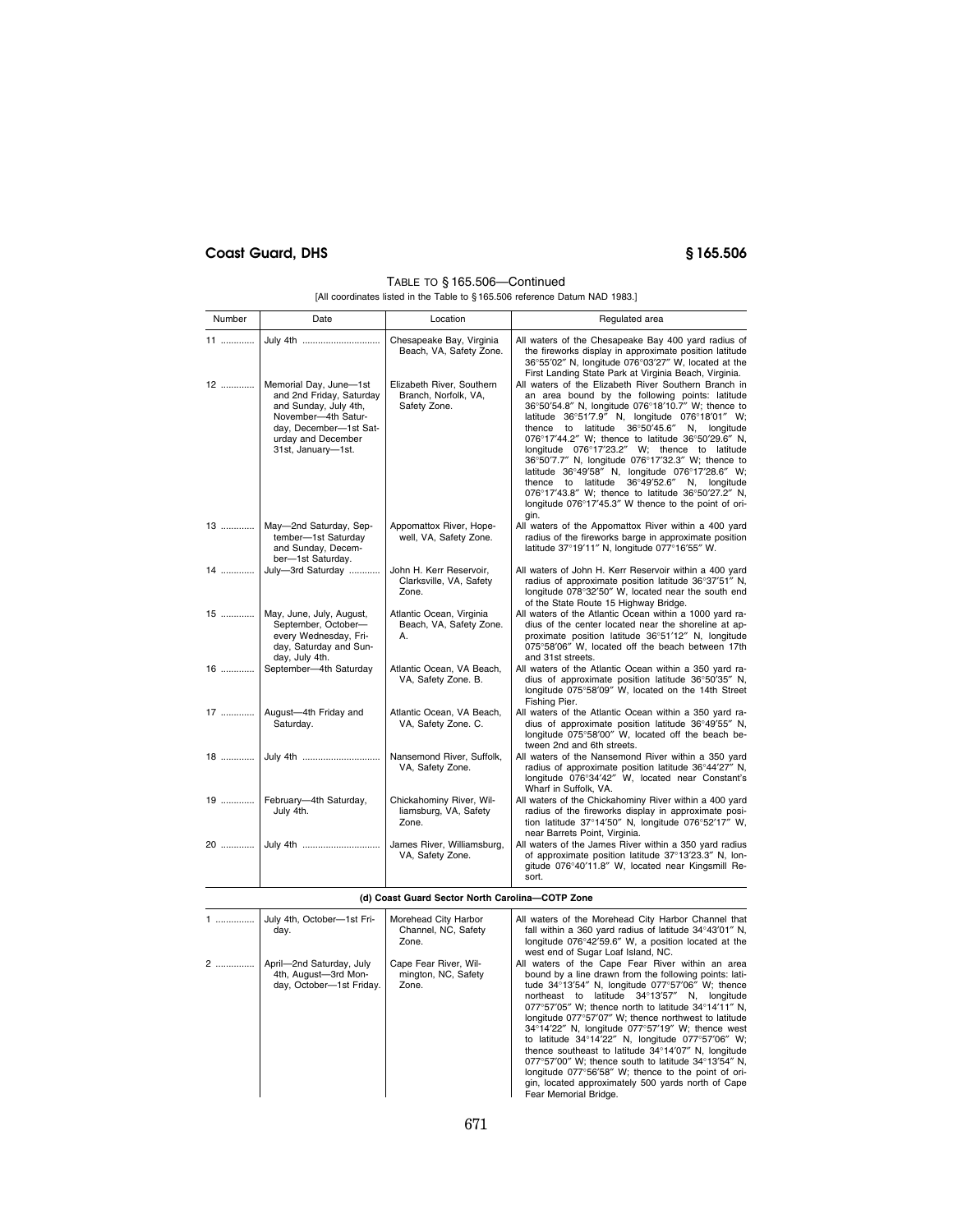# **Coast Guard, DHS § 165.506**

## TABLE TO § 165.506—Continued

| Number | Date                                                                                                                                                                     | Location                                                          | Regulated area                                                                                                                                                                                                                                                                                                                                                                                                                                                                                                                                                                                                                                  |
|--------|--------------------------------------------------------------------------------------------------------------------------------------------------------------------------|-------------------------------------------------------------------|-------------------------------------------------------------------------------------------------------------------------------------------------------------------------------------------------------------------------------------------------------------------------------------------------------------------------------------------------------------------------------------------------------------------------------------------------------------------------------------------------------------------------------------------------------------------------------------------------------------------------------------------------|
| 11     |                                                                                                                                                                          | Chesapeake Bay, Virginia<br>Beach, VA, Safety Zone.               | All waters of the Chesapeake Bay 400 yard radius of<br>the fireworks display in approximate position latitude<br>36°55'02" N, longitude 076°03'27" W, located at the<br>First Landing State Park at Virginia Beach, Virginia.                                                                                                                                                                                                                                                                                                                                                                                                                   |
| 12     | Memorial Day, June-1st<br>and 2nd Friday, Saturday<br>and Sunday, July 4th,<br>November-4th Satur-<br>day, December-1st Sat-<br>urday and December<br>31st, January-1st. | Elizabeth River, Southern<br>Branch, Norfolk, VA,<br>Safety Zone. | All waters of the Elizabeth River Southern Branch in<br>an area bound by the following points: latitude<br>36°50'54.8" N, longitude 076°18'10.7" W; thence to<br>latitude 36°51'7.9" N, longitude 076°18'01" W;<br>thence to latitude 36°50'45.6" N, longitude<br>076°17'44.2" W; thence to latitude 36°50'29.6" N,<br>longitude 076°17'23.2" W; thence to latitude<br>36°50'7.7" N, longitude 076°17'32.3" W; thence to<br>latitude 36°49'58" N, longitude 076°17'28.6" W;<br>thence to latitude 36°49'52.6" N, longitude<br>076°17'43.8" W; thence to latitude 36°50'27.2" N,<br>longitude 076°17'45.3" W thence to the point of ori-<br>gin. |
| 13     | May-2nd Saturday, Sep-<br>tember-1st Saturday<br>and Sunday, Decem-<br>ber-1st Saturday.                                                                                 | Appomattox River, Hope-<br>well, VA, Safety Zone.                 | All waters of the Appomattox River within a 400 yard<br>radius of the fireworks barge in approximate position<br>latitude 37°19'11" N, longitude 077°16'55" W.                                                                                                                                                                                                                                                                                                                                                                                                                                                                                  |
| 14     | July-3rd Saturday                                                                                                                                                        | John H. Kerr Reservoir,<br>Clarksville, VA, Safety<br>Zone.       | All waters of John H. Kerr Reservoir within a 400 yard<br>radius of approximate position latitude 36°37'51" N,<br>longitude 078°32'50" W, located near the south end<br>of the State Route 15 Highway Bridge.                                                                                                                                                                                                                                                                                                                                                                                                                                   |
| 15     | May, June, July, August,<br>September, October-<br>every Wednesday, Fri-<br>day, Saturday and Sun-<br>day, July 4th.                                                     | Atlantic Ocean, Virginia<br>Beach, VA, Safety Zone.<br>А.         | All waters of the Atlantic Ocean within a 1000 yard ra-<br>dius of the center located near the shoreline at ap-<br>proximate position latitude 36°51'12" N, longitude<br>075°58'06" W, located off the beach between 17th<br>and 31st streets.                                                                                                                                                                                                                                                                                                                                                                                                  |
| $16$   | September-4th Saturday                                                                                                                                                   | Atlantic Ocean, VA Beach,<br>VA, Safety Zone. B.                  | All waters of the Atlantic Ocean within a 350 yard ra-<br>dius of approximate position latitude 36°50'35" N,<br>longitude 075°58'09" W, located on the 14th Street<br>Fishing Pier.                                                                                                                                                                                                                                                                                                                                                                                                                                                             |
|        | 17    August-4th Friday and<br>Saturday.                                                                                                                                 | Atlantic Ocean, VA Beach,<br>VA, Safety Zone. C.                  | All waters of the Atlantic Ocean within a 350 yard ra-<br>dius of approximate position latitude 36°49'55" N,<br>longitude 075°58'00" W, located off the beach be-<br>tween 2nd and 6th streets.                                                                                                                                                                                                                                                                                                                                                                                                                                                 |
|        |                                                                                                                                                                          | Nansemond River, Suffolk,<br>VA, Safety Zone.                     | All waters of the Nansemond River within a 350 yard<br>radius of approximate position latitude 36°44'27" N,<br>longitude 076°34'42" W, located near Constant's<br>Wharf in Suffolk, VA.                                                                                                                                                                                                                                                                                                                                                                                                                                                         |
|        | 19    February-4th Saturday,<br>July 4th.                                                                                                                                | Chickahominy River, Wil-<br>liamsburg, VA, Safety<br>Zone.        | All waters of the Chickahominy River within a 400 yard<br>radius of the fireworks display in approximate posi-<br>tion latitude 37°14'50" N, longitude 076°52'17" W,<br>near Barrets Point, Virginia.                                                                                                                                                                                                                                                                                                                                                                                                                                           |
|        |                                                                                                                                                                          | James River, Williamsburg,<br>VA, Safety Zone.                    | All waters of the James River within a 350 yard radius<br>of approximate position latitude 37°13'23.3" N, lon-<br>gitude 076°40'11.8" W, located near Kingsmill Re-<br>sort.                                                                                                                                                                                                                                                                                                                                                                                                                                                                    |
|        |                                                                                                                                                                          | (d) Coast Guard Sector North Carolina-COTP Zone                   |                                                                                                                                                                                                                                                                                                                                                                                                                                                                                                                                                                                                                                                 |

| 1 | July 4th, October-1st Fri-<br>day.                                           | Morehead City Harbor<br>Channel, NC, Safety<br>Zone.  | All waters of the Morehead City Harbor Channel that<br>fall within a 360 yard radius of latitude 34°43'01" N,<br>longitude 076°42'59.6" W, a position located at the<br>west end of Sugar Loaf Island, NC.                                                                                                                                                                                                                                                                                                                                                                                                                                                                                                                        |  |  |
|---|------------------------------------------------------------------------------|-------------------------------------------------------|-----------------------------------------------------------------------------------------------------------------------------------------------------------------------------------------------------------------------------------------------------------------------------------------------------------------------------------------------------------------------------------------------------------------------------------------------------------------------------------------------------------------------------------------------------------------------------------------------------------------------------------------------------------------------------------------------------------------------------------|--|--|
| 2 | April-2nd Saturday, July<br>4th, August-3rd Mon-<br>day, October-1st Friday. | Cape Fear River, Wil-<br>mington, NC, Safety<br>Zone. | All waters of the Cape Fear River within an area<br>bound by a line drawn from the following points: lati-<br>tude 34°13'54" N, longitude 077°57'06" W; thence<br>northeast to latitude 34°13'57" N, longitude<br>077°57'05" W; thence north to latitude $34^{\circ}14'11''$ N,<br>longitude 077°57'07" W; thence northwest to latitude<br>34°14'22" N, longitude 077°57'19" W; thence west<br>to latitude $34^{\circ}14'22''$ N, longitude $077^{\circ}57'06''$ W;<br>thence southeast to latitude 34°14'07" N, longitude<br>077°57'00" W; thence south to latitude $34^{\circ}13'54''$ N,<br>longitude 077°56'58" W; thence to the point of ori-<br>gin, located approximately 500 yards north of Cape<br>Fear Memorial Bridge. |  |  |